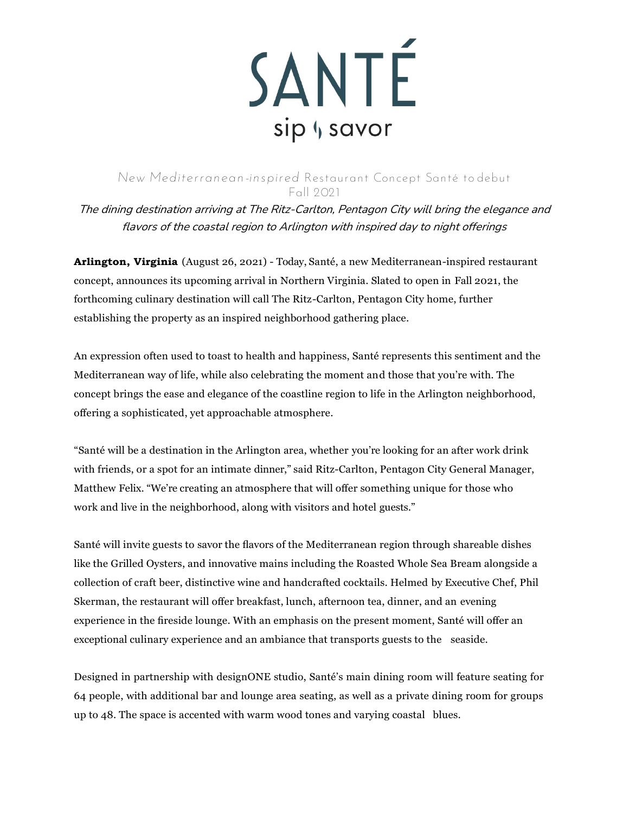

## *New Mediterranean-inspired* **Restaurant Concept Santé to debut Fall 2021**

The dining destination arriving at The Ritz-Carlton, Pentagon City will bring the elegance and flavors of the coastal region to Arlington with inspired day to night offerings

**Arlington, Virginia** (August 26, 2021) - Today, Santé, a new Mediterranean-inspired restaurant concept, announces its upcoming arrival in Northern Virginia. Slated to open in Fall 2021, the forthcoming culinary destination will call The Ritz-Carlton, Pentagon City home, further establishing the property as an inspired neighborhood gathering place.

An expression often used to toast to health and happiness, Santé represents this sentiment and the Mediterranean way of life, while also celebrating the moment and those that you're with. The concept brings the ease and elegance of the coastline region to life in the Arlington neighborhood, offering a sophisticated, yet approachable atmosphere.

"Santé will be a destination in the Arlington area, whether you're looking for an after work drink with friends, or a spot for an intimate dinner," said Ritz-Carlton, Pentagon City General Manager, Matthew Felix. "We're creating an atmosphere that will offer something unique for those who work and live in the neighborhood, along with visitors and hotel guests."

Santé will invite guests to savor the flavors of the Mediterranean region through shareable dishes like the Grilled Oysters, and innovative mains including the Roasted Whole Sea Bream alongside a collection of craft beer, distinctive wine and handcrafted cocktails. Helmed by Executive Chef, Phil Skerman, the restaurant will offer breakfast, lunch, afternoon tea, dinner, and an evening experience in the fireside lounge. With an emphasis on the present moment, Santé will offer an exceptional culinary experience and an ambiance that transports guests to the seaside.

Designed in partnership with designONE studio, Santé's main dining room will feature seating for 64 people, with additional bar and lounge area seating, as well as a private dining room for groups up to 48. The space is accented with warm wood tones and varying coastal blues.